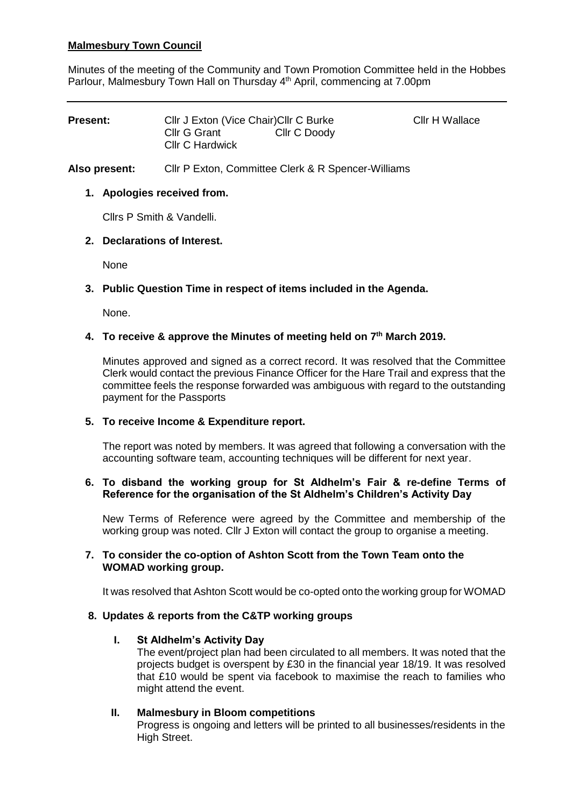# **Malmesbury Town Council**

Minutes of the meeting of the Community and Town Promotion Committee held in the Hobbes Parlour, Malmesbury Town Hall on Thursday 4<sup>th</sup> April, commencing at 7.00pm

| <b>Present:</b> | Cllr J Exton (Vice Chair) Cllr C Burke |              | Cllr H Wallace |
|-----------------|----------------------------------------|--------------|----------------|
|                 | Cllr G Grant<br>Cllr C Hardwick        | Cllr C Doody |                |

**Also present:** Cllr P Exton, Committee Clerk & R Spencer-Williams

## **1. Apologies received from.**

Cllrs P Smith & Vandelli.

## **2. Declarations of Interest.**

None

## **3. Public Question Time in respect of items included in the Agenda.**

None.

#### **4. To receive & approve the Minutes of meeting held on 7 th March 2019.**

Minutes approved and signed as a correct record. It was resolved that the Committee Clerk would contact the previous Finance Officer for the Hare Trail and express that the committee feels the response forwarded was ambiguous with regard to the outstanding payment for the Passports

#### **5. To receive Income & Expenditure report.**

The report was noted by members. It was agreed that following a conversation with the accounting software team, accounting techniques will be different for next year.

#### **6. To disband the working group for St Aldhelm's Fair & re-define Terms of Reference for the organisation of the St Aldhelm's Children's Activity Day**

New Terms of Reference were agreed by the Committee and membership of the working group was noted. Cllr J Exton will contact the group to organise a meeting.

#### **7. To consider the co-option of Ashton Scott from the Town Team onto the WOMAD working group.**

It was resolved that Ashton Scott would be co-opted onto the working group for WOMAD

#### **8. Updates & reports from the C&TP working groups**

#### **I. St Aldhelm's Activity Day**

The event/project plan had been circulated to all members. It was noted that the projects budget is overspent by £30 in the financial year 18/19. It was resolved that £10 would be spent via facebook to maximise the reach to families who might attend the event.

#### **II. Malmesbury in Bloom competitions**

Progress is ongoing and letters will be printed to all businesses/residents in the High Street.